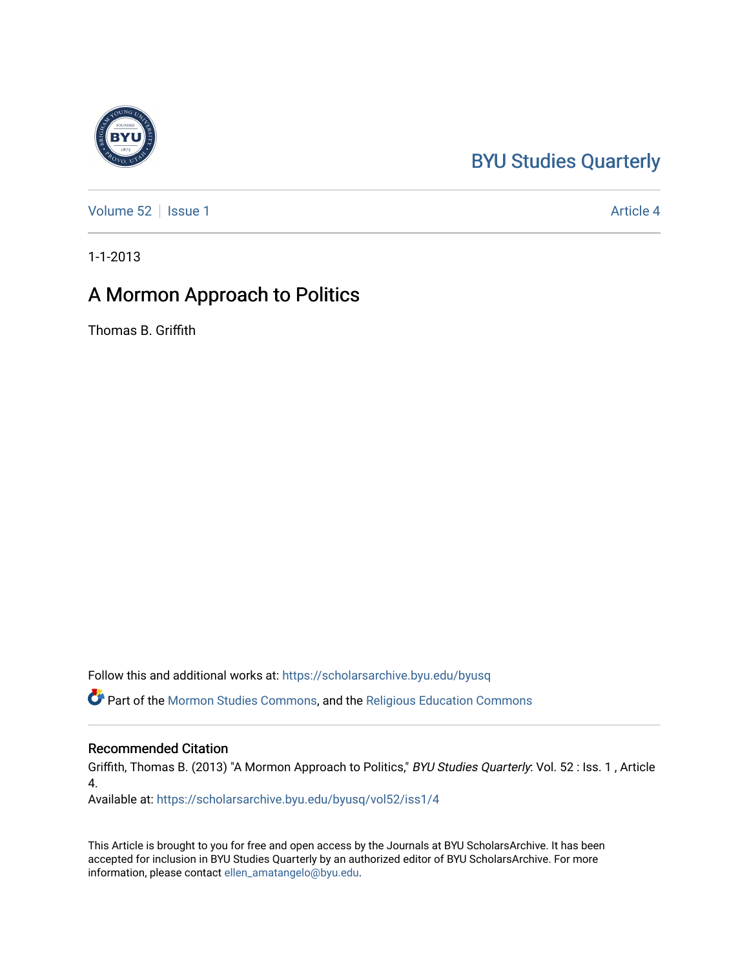## [BYU Studies Quarterly](https://scholarsarchive.byu.edu/byusq)

[Volume 52](https://scholarsarchive.byu.edu/byusq/vol52) | [Issue 1](https://scholarsarchive.byu.edu/byusq/vol52/iss1) Article 4

1-1-2013

## A Mormon Approach to Politics

Thomas B. Griffith

Follow this and additional works at: [https://scholarsarchive.byu.edu/byusq](https://scholarsarchive.byu.edu/byusq?utm_source=scholarsarchive.byu.edu%2Fbyusq%2Fvol52%2Fiss1%2F4&utm_medium=PDF&utm_campaign=PDFCoverPages) 

Part of the [Mormon Studies Commons](http://network.bepress.com/hgg/discipline/1360?utm_source=scholarsarchive.byu.edu%2Fbyusq%2Fvol52%2Fiss1%2F4&utm_medium=PDF&utm_campaign=PDFCoverPages), and the [Religious Education Commons](http://network.bepress.com/hgg/discipline/1414?utm_source=scholarsarchive.byu.edu%2Fbyusq%2Fvol52%2Fiss1%2F4&utm_medium=PDF&utm_campaign=PDFCoverPages) 

## Recommended Citation

Griffith, Thomas B. (2013) "A Mormon Approach to Politics," BYU Studies Quarterly: Vol. 52 : Iss. 1, Article 4.

Available at: [https://scholarsarchive.byu.edu/byusq/vol52/iss1/4](https://scholarsarchive.byu.edu/byusq/vol52/iss1/4?utm_source=scholarsarchive.byu.edu%2Fbyusq%2Fvol52%2Fiss1%2F4&utm_medium=PDF&utm_campaign=PDFCoverPages)

This Article is brought to you for free and open access by the Journals at BYU ScholarsArchive. It has been accepted for inclusion in BYU Studies Quarterly by an authorized editor of BYU ScholarsArchive. For more information, please contact [ellen\\_amatangelo@byu.edu.](mailto:ellen_amatangelo@byu.edu)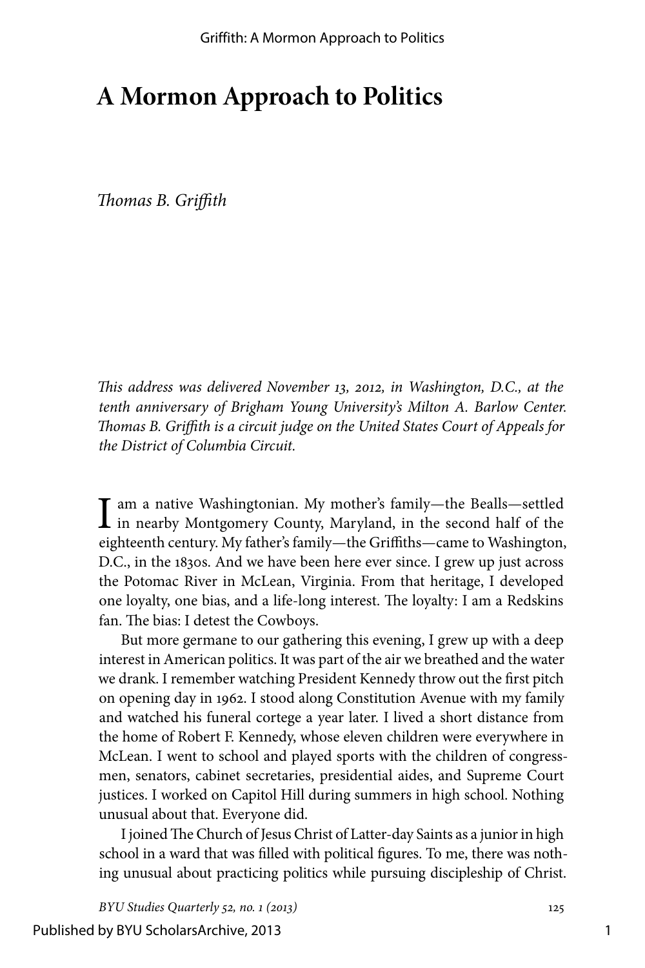## **A Mormon Approach to Politics**

*Thomas B. Griffith*

*This address was delivered November 13, 2012, in Washington, D.C., at the tenth anniversary of Brigham Young University's Milton A. Barlow Center. Thomas B. Griffith is a circuit judge on the United States Court of Appeals for the District of Columbia Circuit.*

I am a native Washingtonian. My mother's family—the Bealls—settled<br>in nearby Montgomery County, Maryland, in the second half of the<br>intervals of the second half of the eighteenth century. My father's family—the Griffiths—came to Washington, D.C., in the 1830s. And we have been here ever since. I grew up just across the Potomac River in McLean, Virginia. From that heritage, I developed one loyalty, one bias, and a life-long interest. The loyalty: I am a Redskins fan. The bias: I detest the Cowboys.

But more germane to our gathering this evening, I grew up with a deep interest in American politics. It was part of the air we breathed and the water we drank. I remember watching President Kennedy throw out the first pitch on opening day in 1962. I stood along Constitution Avenue with my family and watched his funeral cortege a year later. I lived a short distance from the home of Robert F. Kennedy, whose eleven children were everywhere in McLean. I went to school and played sports with the children of congressmen, senators, cabinet secretaries, presidential aides, and Supreme Court justices. I worked on Capitol Hill during summers in high school. Nothing unusual about that. Everyone did.

I joined The Church of Jesus Christ of Latter-day Saints as a junior in high school in a ward that was filled with political figures. To me, there was nothing unusual about practicing politics while pursuing discipleship of Christ.

*BYU Studies Quarterly 52, no. 1 (2013)* 125

Published by BYU ScholarsArchive, 2013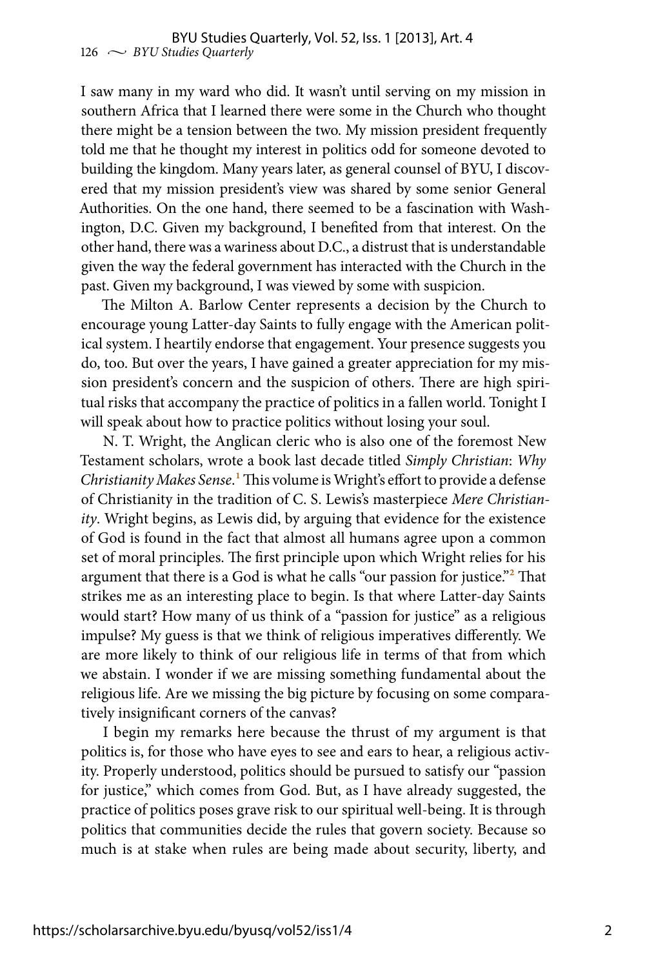I saw many in my ward who did. It wasn't until serving on my mission in southern Africa that I learned there were some in the Church who thought there might be a tension between the two. My mission president frequently told me that he thought my interest in politics odd for someone devoted to building the kingdom. Many years later, as general counsel of BYU, I discovered that my mission president's view was shared by some senior General Authorities. On the one hand, there seemed to be a fascination with Washington, D.C. Given my background, I benefited from that interest. On the other hand, there was a wariness about D.C., a distrust that is understandable given the way the federal government has interacted with the Church in the past. Given my background, I was viewed by some with suspicion.

The Milton A. Barlow Center represents a decision by the Church to encourage young Latter-day Saints to fully engage with the American political system. I heartily endorse that engagement. Your presence suggests you do, too. But over the years, I have gained a greater appreciation for my mission president's concern and the suspicion of others. There are high spiritual risks that accompany the practice of politics in a fallen world. Tonight I will speak about how to practice politics without losing your soul.

N. T. Wright, the Anglican cleric who is also one of the foremost New Testament scholars, wrote a book last decade titled *Simply Christian*: *Why Christianity Makes Sense*.1 This volume is Wright's effort to provide a defense of Christianity in the tradition of C. S. Lewis's masterpiece *Mere Christianity*. Wright begins, as Lewis did, by arguing that evidence for the existence of God is found in the fact that almost all humans agree upon a common set of moral principles. The first principle upon which Wright relies for his argument that there is a God is what he calls "our passion for justice."<sup>2</sup> That strikes me as an interesting place to begin. Is that where Latter-day Saints would start? How many of us think of a "passion for justice" as a religious impulse? My guess is that we think of religious imperatives differently. We are more likely to think of our religious life in terms of that from which we abstain. I wonder if we are missing something fundamental about the religious life. Are we missing the big picture by focusing on some comparatively insignificant corners of the canvas?

I begin my remarks here because the thrust of my argument is that politics is, for those who have eyes to see and ears to hear, a religious activity. Properly understood, politics should be pursued to satisfy our "passion for justice," which comes from God. But, as I have already suggested, the practice of politics poses grave risk to our spiritual well-being. It is through politics that communities decide the rules that govern society. Because so much is at stake when rules are being made about security, liberty, and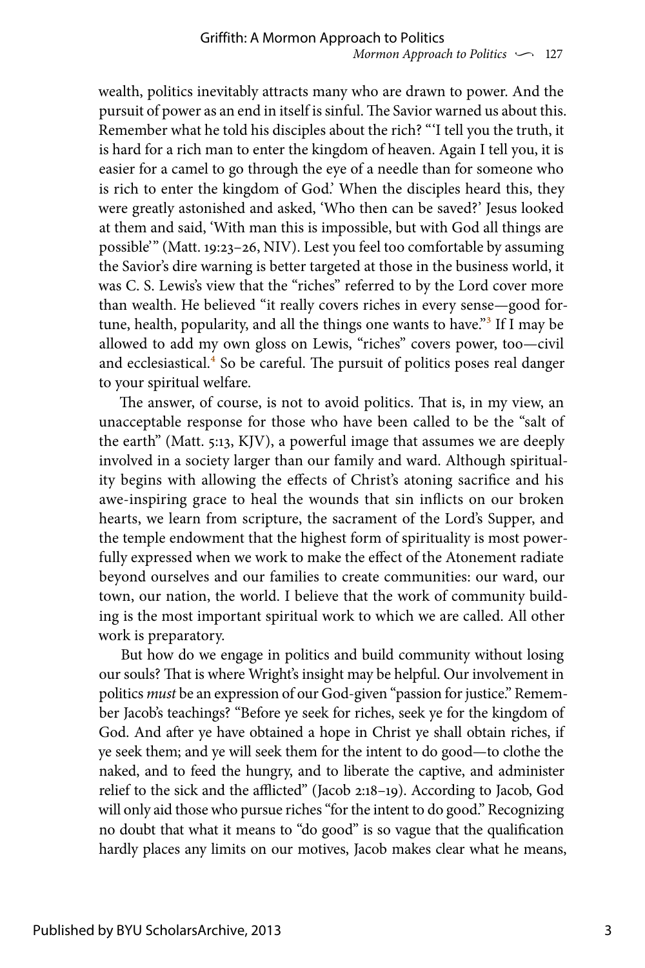wealth, politics inevitably attracts many who are drawn to power. And the pursuit of power as an end in itself is sinful. The Savior warned us about this. Remember what he told his disciples about the rich? "'I tell you the truth, it is hard for a rich man to enter the kingdom of heaven. Again I tell you, it is easier for a camel to go through the eye of a needle than for someone who is rich to enter the kingdom of God.' When the disciples heard this, they were greatly astonished and asked, 'Who then can be saved?' Jesus looked at them and said, 'With man this is impossible, but with God all things are possible'" (Matt. 19:23–26, NIV). Lest you feel too comfortable by assuming the Savior's dire warning is better targeted at those in the business world, it was C. S. Lewis's view that the "riches" referred to by the Lord cover more than wealth. He believed "it really covers riches in every sense—good fortune, health, popularity, and all the things one wants to have."<sup>3</sup> If I may be allowed to add my own gloss on Lewis, "riches" covers power, too—civil and ecclesiastical. $4$  So be careful. The pursuit of politics poses real danger to your spiritual welfare.

The answer, of course, is not to avoid politics. That is, in my view, an unacceptable response for those who have been called to be the "salt of the earth" (Matt. 5:13, KJV), a powerful image that assumes we are deeply involved in a society larger than our family and ward. Although spirituality begins with allowing the effects of Christ's atoning sacrifice and his awe-inspiring grace to heal the wounds that sin inflicts on our broken hearts, we learn from scripture, the sacrament of the Lord's Supper, and the temple endowment that the highest form of spirituality is most powerfully expressed when we work to make the effect of the Atonement radiate beyond ourselves and our families to create communities: our ward, our town, our nation, the world. I believe that the work of community building is the most important spiritual work to which we are called. All other work is preparatory.

But how do we engage in politics and build community without losing our souls? That is where Wright's insight may be helpful. Our involvement in politics *must* be an expression of our God-given "passion for justice." Remember Jacob's teachings? "Before ye seek for riches, seek ye for the kingdom of God. And after ye have obtained a hope in Christ ye shall obtain riches, if ye seek them; and ye will seek them for the intent to do good—to clothe the naked, and to feed the hungry, and to liberate the captive, and administer relief to the sick and the afflicted" (Jacob 2:18–19). According to Jacob, God will only aid those who pursue riches "for the intent to do good." Recognizing no doubt that what it means to "do good" is so vague that the qualification hardly places any limits on our motives, Jacob makes clear what he means,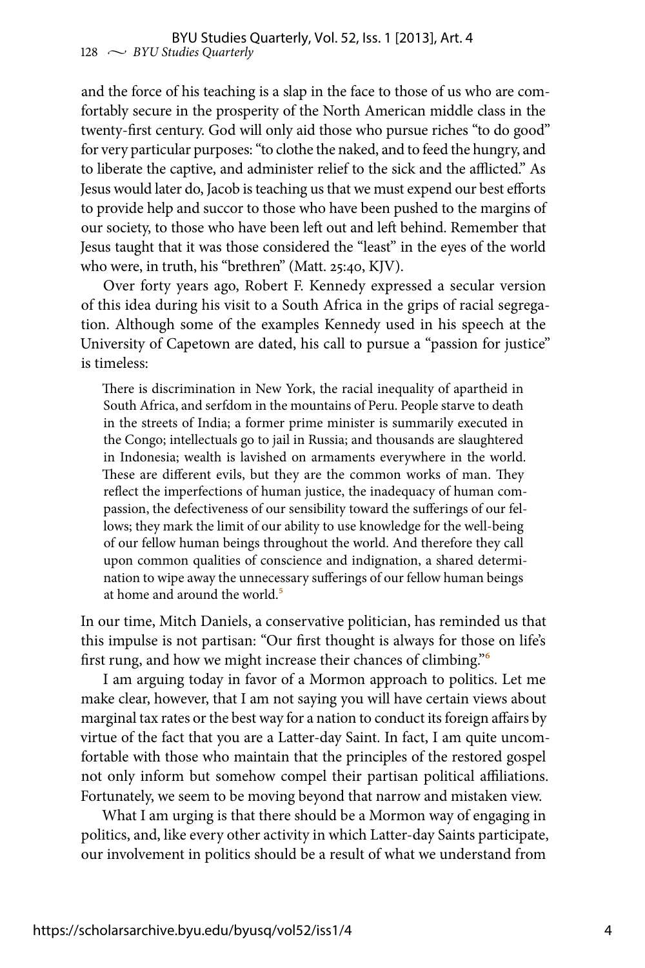and the force of his teaching is a slap in the face to those of us who are comfortably secure in the prosperity of the North American middle class in the twenty-first century. God will only aid those who pursue riches "to do good" for very particular purposes: "to clothe the naked, and to feed the hungry, and to liberate the captive, and administer relief to the sick and the afflicted." As Jesus would later do, Jacob is teaching us that we must expend our best efforts to provide help and succor to those who have been pushed to the margins of our society, to those who have been left out and left behind. Remember that Jesus taught that it was those considered the "least" in the eyes of the world who were, in truth, his "brethren" (Matt. 25:40, KJV).

Over forty years ago, Robert F. Kennedy expressed a secular version of this idea during his visit to a South Africa in the grips of racial segregation. Although some of the examples Kennedy used in his speech at the University of Capetown are dated, his call to pursue a "passion for justice" is timeless:

There is discrimination in New York, the racial inequality of apartheid in South Africa, and serfdom in the mountains of Peru. People starve to death in the streets of India; a former prime minister is summarily executed in the Congo; intellectuals go to jail in Russia; and thousands are slaughtered in Indonesia; wealth is lavished on armaments everywhere in the world. These are different evils, but they are the common works of man. They reflect the imperfections of human justice, the inadequacy of human compassion, the defectiveness of our sensibility toward the sufferings of our fellows; they mark the limit of our ability to use knowledge for the well-being of our fellow human beings throughout the world. And therefore they call upon common qualities of conscience and indignation, a shared determination to wipe away the unnecessary sufferings of our fellow human beings at home and around the world<sup>5</sup>

In our time, Mitch Daniels, a conservative politician, has reminded us that this impulse is not partisan: "Our first thought is always for those on life's first rung, and how we might increase their chances of climbing."6

I am arguing today in favor of a Mormon approach to politics. Let me make clear, however, that I am not saying you will have certain views about marginal tax rates or the best way for a nation to conduct its foreign affairs by virtue of the fact that you are a Latter-day Saint. In fact, I am quite uncomfortable with those who maintain that the principles of the restored gospel not only inform but somehow compel their partisan political affiliations. Fortunately, we seem to be moving beyond that narrow and mistaken view.

What I am urging is that there should be a Mormon way of engaging in politics, and, like every other activity in which Latter-day Saints participate, our involvement in politics should be a result of what we understand from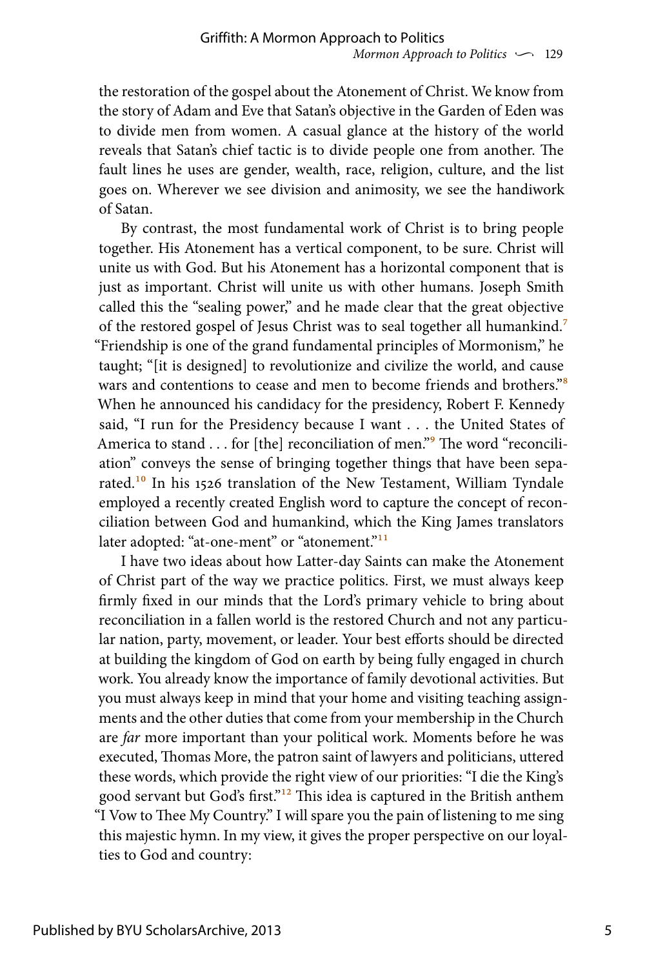the restoration of the gospel about the Atonement of Christ. We know from the story of Adam and Eve that Satan's objective in the Garden of Eden was to divide men from women. A casual glance at the history of the world reveals that Satan's chief tactic is to divide people one from another. The fault lines he uses are gender, wealth, race, religion, culture, and the list goes on. Wherever we see division and animosity, we see the handiwork of Satan.

By contrast, the most fundamental work of Christ is to bring people together. His Atonement has a vertical component, to be sure. Christ will unite us with God. But his Atonement has a horizontal component that is just as important. Christ will unite us with other humans. Joseph Smith called this the "sealing power," and he made clear that the great objective of the restored gospel of Jesus Christ was to seal together all humankind.<sup>7</sup> "Friendship is one of the grand fundamental principles of Mormonism," he taught; "[it is designed] to revolutionize and civilize the world, and cause wars and contentions to cease and men to become friends and brothers.<sup>"8</sup> When he announced his candidacy for the presidency, Robert F. Kennedy said, "I run for the Presidency because I want . . . the United States of America to stand . . . for [the] reconciliation of men."<sup>9</sup> The word "reconciliation" conveys the sense of bringing together things that have been separated.<sup>10</sup> In his 1526 translation of the New Testament, William Tyndale employed a recently created English word to capture the concept of reconciliation between God and humankind, which the King James translators later adopted: "at-one-ment" or "atonement."<sup>11</sup>

I have two ideas about how Latter-day Saints can make the Atonement of Christ part of the way we practice politics. First, we must always keep firmly fixed in our minds that the Lord's primary vehicle to bring about reconciliation in a fallen world is the restored Church and not any particular nation, party, movement, or leader. Your best efforts should be directed at building the kingdom of God on earth by being fully engaged in church work. You already know the importance of family devotional activities. But you must always keep in mind that your home and visiting teaching assignments and the other duties that come from your membership in the Church are *far* more important than your political work. Moments before he was executed, Thomas More, the patron saint of lawyers and politicians, uttered these words, which provide the right view of our priorities: "I die the King's good servant but God's first."12 This idea is captured in the British anthem "I Vow to Thee My Country." I will spare you the pain of listening to me sing this majestic hymn. In my view, it gives the proper perspective on our loyalties to God and country: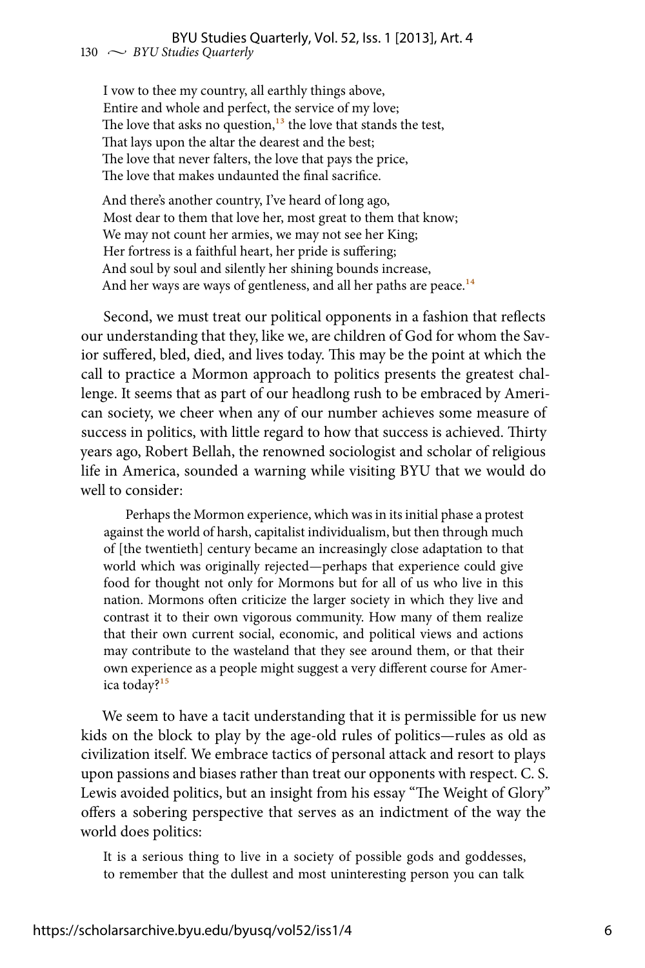I vow to thee my country, all earthly things above, Entire and whole and perfect, the service of my love; The love that asks no question, $13$  the love that stands the test, That lays upon the altar the dearest and the best; The love that never falters, the love that pays the price, The love that makes undaunted the final sacrifice.

And there's another country, I've heard of long ago, Most dear to them that love her, most great to them that know; We may not count her armies, we may not see her King; Her fortress is a faithful heart, her pride is suffering; And soul by soul and silently her shining bounds increase, And her ways are ways of gentleness, and all her paths are peace.<sup>14</sup>

Second, we must treat our political opponents in a fashion that reflects our understanding that they, like we, are children of God for whom the Savior suffered, bled, died, and lives today. This may be the point at which the call to practice a Mormon approach to politics presents the greatest challenge. It seems that as part of our headlong rush to be embraced by American society, we cheer when any of our number achieves some measure of success in politics, with little regard to how that success is achieved. Thirty years ago, Robert Bellah, the renowned sociologist and scholar of religious life in America, sounded a warning while visiting BYU that we would do well to consider:

Perhaps the Mormon experience, which was in its initial phase a protest against the world of harsh, capitalist individualism, but then through much of [the twentieth] century became an increasingly close adaptation to that world which was originally rejected—perhaps that experience could give food for thought not only for Mormons but for all of us who live in this nation. Mormons often criticize the larger society in which they live and contrast it to their own vigorous community. How many of them realize that their own current social, economic, and political views and actions may contribute to the wasteland that they see around them, or that their own experience as a people might suggest a very different course for America today?15

We seem to have a tacit understanding that it is permissible for us new kids on the block to play by the age-old rules of politics—rules as old as civilization itself. We embrace tactics of personal attack and resort to plays upon passions and biases rather than treat our opponents with respect. C. S. Lewis avoided politics, but an insight from his essay "The Weight of Glory" offers a sobering perspective that serves as an indictment of the way the world does politics:

It is a serious thing to live in a society of possible gods and goddesses, to remember that the dullest and most uninteresting person you can talk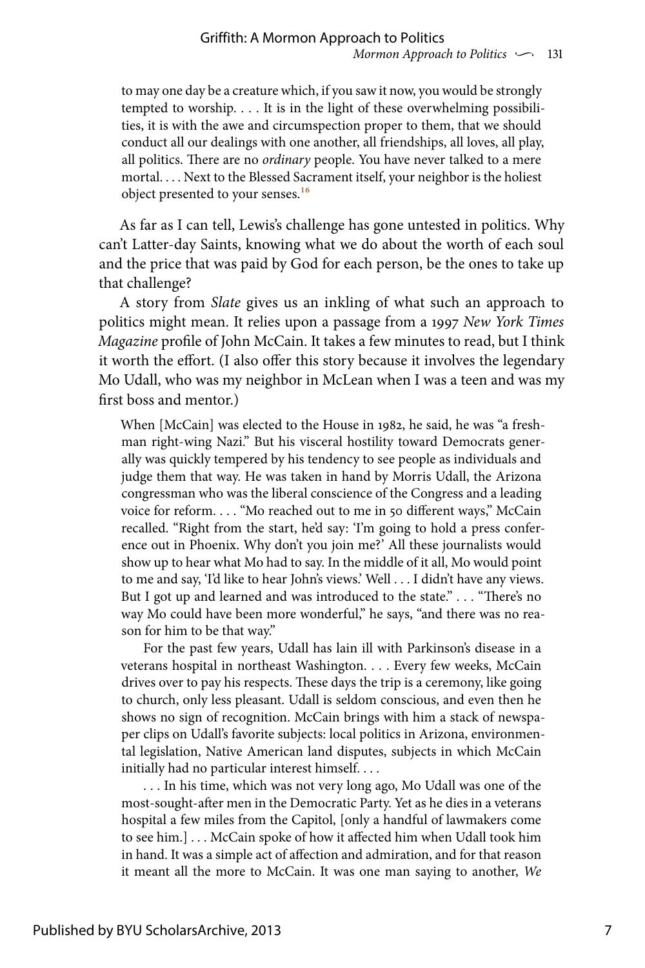to may one day be a creature which, if you saw it now, you would be strongly tempted to worship. . . . It is in the light of these overwhelming possibilities, it is with the awe and circumspection proper to them, that we should conduct all our dealings with one another, all friendships, all loves, all play, all politics. There are no *ordinary* people. You have never talked to a mere mortal. . . . Next to the Blessed Sacrament itself, your neighbor is the holiest object presented to your senses.16

As far as I can tell, Lewis's challenge has gone untested in politics. Why can't Latter-day Saints, knowing what we do about the worth of each soul and the price that was paid by God for each person, be the ones to take up that challenge?

A story from *Slate* gives us an inkling of what such an approach to politics might mean. It relies upon a passage from a 1997 *New York Times Magazine* profile of John McCain. It takes a few minutes to read, but I think it worth the effort. (I also offer this story because it involves the legendary Mo Udall, who was my neighbor in McLean when I was a teen and was my first boss and mentor.)

When [McCain] was elected to the House in 1982, he said, he was "a freshman right-wing Nazi." But his visceral hostility toward Democrats generally was quickly tempered by his tendency to see people as individuals and judge them that way. He was taken in hand by Morris Udall, the Arizona congressman who was the liberal conscience of the Congress and a leading voice for reform. . . . "Mo reached out to me in 50 different ways," McCain recalled. "Right from the start, he'd say: 'I'm going to hold a press conference out in Phoenix. Why don't you join me?' All these journalists would show up to hear what Mo had to say. In the middle of it all, Mo would point to me and say, 'I'd like to hear John's views.' Well . . . I didn't have any views. But I got up and learned and was introduced to the state." . . . "There's no way Mo could have been more wonderful," he says, "and there was no reason for him to be that way."

For the past few years, Udall has lain ill with Parkinson's disease in a veterans hospital in northeast Washington. . . . Every few weeks, McCain drives over to pay his respects. These days the trip is a ceremony, like going to church, only less pleasant. Udall is seldom conscious, and even then he shows no sign of recognition. McCain brings with him a stack of newspaper clips on Udall's favorite subjects: local politics in Arizona, environmental legislation, Native American land disputes, subjects in which McCain initially had no particular interest himself. . . .

. . . In his time, which was not very long ago, Mo Udall was one of the most-sought-after men in the Democratic Party. Yet as he dies in a veterans hospital a few miles from the Capitol, [only a handful of lawmakers come to see him.] . . . McCain spoke of how it affected him when Udall took him in hand. It was a simple act of affection and admiration, and for that reason it meant all the more to McCain. It was one man saying to another, *We*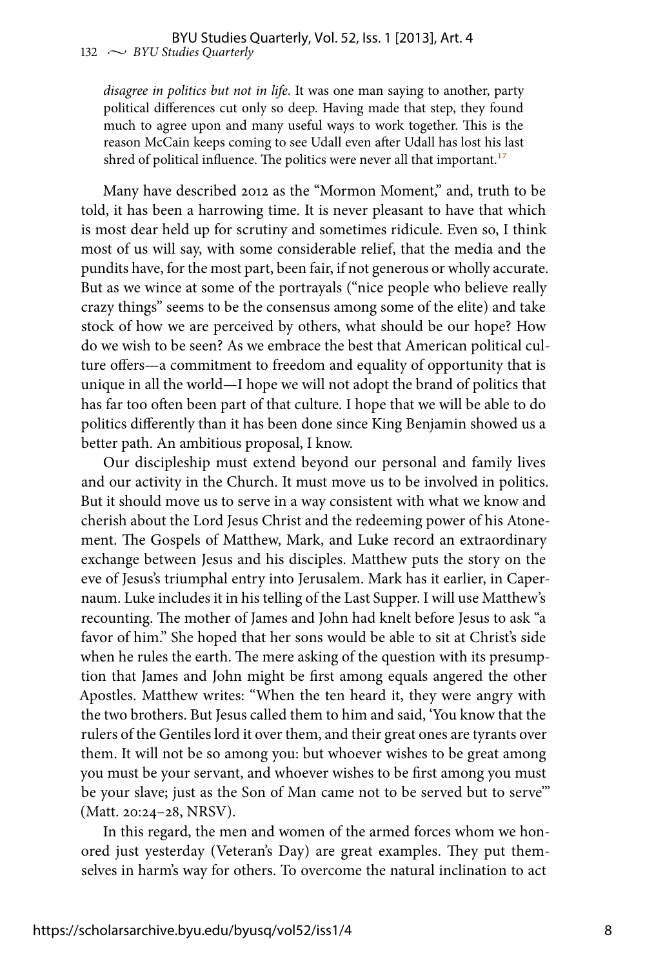*disagree in politics but not in life*. It was one man saying to another, party political differences cut only so deep. Having made that step, they found much to agree upon and many useful ways to work together. This is the reason McCain keeps coming to see Udall even after Udall has lost his last shred of political influence. The politics were never all that important.<sup>17</sup>

Many have described 2012 as the "Mormon Moment," and, truth to be told, it has been a harrowing time. It is never pleasant to have that which is most dear held up for scrutiny and sometimes ridicule. Even so, I think most of us will say, with some considerable relief, that the media and the pundits have, for the most part, been fair, if not generous or wholly accurate. But as we wince at some of the portrayals ("nice people who believe really crazy things" seems to be the consensus among some of the elite) and take stock of how we are perceived by others, what should be our hope? How do we wish to be seen? As we embrace the best that American political culture offers—a commitment to freedom and equality of opportunity that is unique in all the world—I hope we will not adopt the brand of politics that has far too often been part of that culture. I hope that we will be able to do politics differently than it has been done since King Benjamin showed us a better path. An ambitious proposal, I know.

Our discipleship must extend beyond our personal and family lives and our activity in the Church. It must move us to be involved in politics. But it should move us to serve in a way consistent with what we know and cherish about the Lord Jesus Christ and the redeeming power of his Atonement. The Gospels of Matthew, Mark, and Luke record an extraordinary exchange between Jesus and his disciples. Matthew puts the story on the eve of Jesus's triumphal entry into Jerusalem. Mark has it earlier, in Capernaum. Luke includes it in his telling of the Last Supper. I will use Matthew's recounting. The mother of James and John had knelt before Jesus to ask "a favor of him." She hoped that her sons would be able to sit at Christ's side when he rules the earth. The mere asking of the question with its presumption that James and John might be first among equals angered the other Apostles. Matthew writes: "When the ten heard it, they were angry with the two brothers. But Jesus called them to him and said, 'You know that the rulers of the Gentiles lord it over them, and their great ones are tyrants over them. It will not be so among you: but whoever wishes to be great among you must be your servant, and whoever wishes to be first among you must be your slave; just as the Son of Man came not to be served but to serve'" (Matt. 20:24–28, NRSV).

In this regard, the men and women of the armed forces whom we honored just yesterday (Veteran's Day) are great examples. They put themselves in harm's way for others. To overcome the natural inclination to act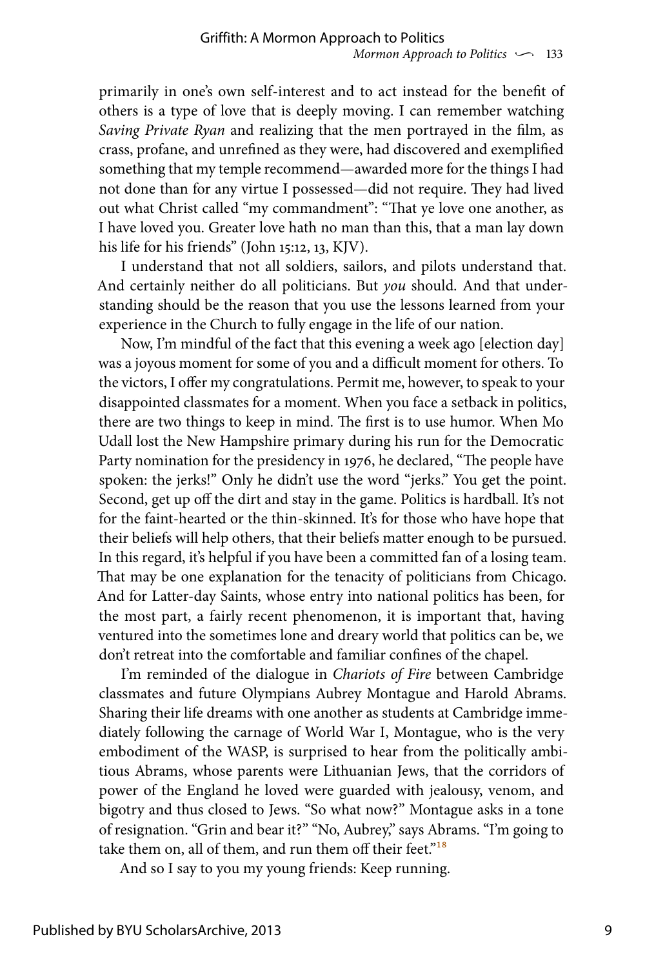primarily in one's own self-interest and to act instead for the benefit of others is a type of love that is deeply moving. I can remember watching *Saving Private Ryan* and realizing that the men portrayed in the film, as crass, profane, and unrefined as they were, had discovered and exemplified something that my temple recommend—awarded more for the things I had not done than for any virtue I possessed—did not require. They had lived out what Christ called "my commandment": "That ye love one another, as I have loved you. Greater love hath no man than this, that a man lay down his life for his friends" (John 15:12, 13, KJV).

I understand that not all soldiers, sailors, and pilots understand that. And certainly neither do all politicians. But *you* should. And that understanding should be the reason that you use the lessons learned from your experience in the Church to fully engage in the life of our nation.

Now, I'm mindful of the fact that this evening a week ago [election day] was a joyous moment for some of you and a difficult moment for others. To the victors, I offer my congratulations. Permit me, however, to speak to your disappointed classmates for a moment. When you face a setback in politics, there are two things to keep in mind. The first is to use humor. When Mo Udall lost the New Hampshire primary during his run for the Democratic Party nomination for the presidency in 1976, he declared, "The people have spoken: the jerks!" Only he didn't use the word "jerks." You get the point. Second, get up off the dirt and stay in the game. Politics is hardball. It's not for the faint-hearted or the thin-skinned. It's for those who have hope that their beliefs will help others, that their beliefs matter enough to be pursued. In this regard, it's helpful if you have been a committed fan of a losing team. That may be one explanation for the tenacity of politicians from Chicago. And for Latter-day Saints, whose entry into national politics has been, for the most part, a fairly recent phenomenon, it is important that, having ventured into the sometimes lone and dreary world that politics can be, we don't retreat into the comfortable and familiar confines of the chapel.

I'm reminded of the dialogue in *Chariots of Fire* between Cambridge classmates and future Olympians Aubrey Montague and Harold Abrams. Sharing their life dreams with one another as students at Cambridge immediately following the carnage of World War I, Montague, who is the very embodiment of the WASP, is surprised to hear from the politically ambitious Abrams, whose parents were Lithuanian Jews, that the corridors of power of the England he loved were guarded with jealousy, venom, and bigotry and thus closed to Jews. "So what now?" Montague asks in a tone of resignation. "Grin and bear it?" "No, Aubrey," says Abrams. "I'm going to take them on, all of them, and run them off their feet."<sup>18</sup>

And so I say to you my young friends: Keep running.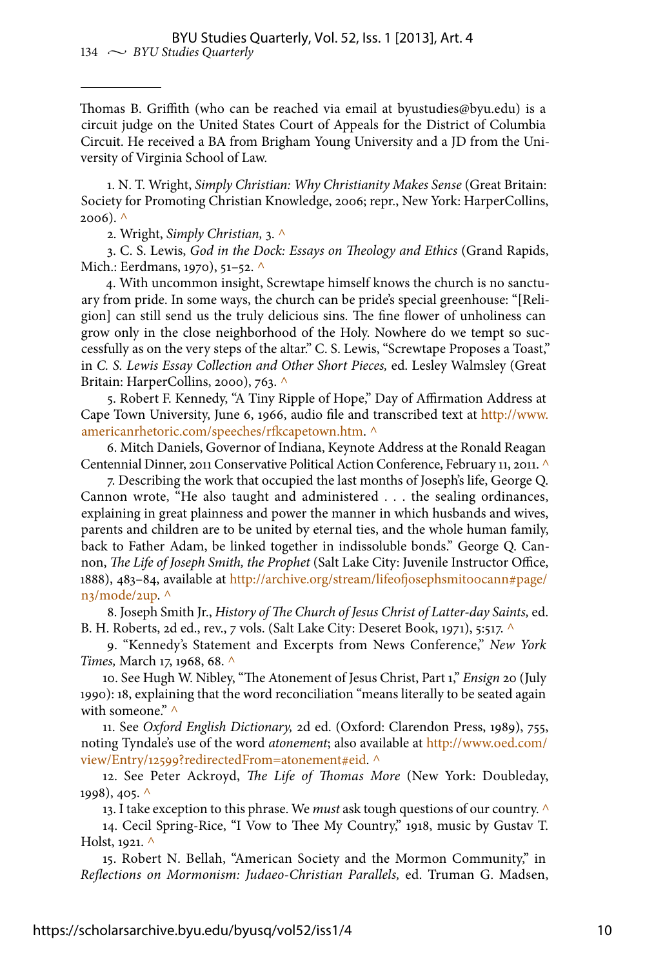Thomas B. Griffith (who can be reached via email at byustudies@byu.edu) is a circuit judge on the United States Court of Appeals for the District of Columbia Circuit. He received a BA from Brigham Young University and a JD from the University of Virginia School of Law.

1. N. T. Wright, *Simply Christian: Why Christianity Makes Sense* (Great Britain: Society for Promoting Christian Knowledge, 2006; repr., New York: HarperCollins,  $2006$ ). ^

2. Wright, *Simply Christian,* 3. ^

3. C. S. Lewis, *God in the Dock: Essays on Theology and Ethics* (Grand Rapids, Mich.: Eerdmans, 1970), 51–52. ^

4. With uncommon insight, Screwtape himself knows the church is no sanctuary from pride. In some ways, the church can be pride's special greenhouse: "[Religion] can still send us the truly delicious sins. The fine flower of unholiness can grow only in the close neighborhood of the Holy. Nowhere do we tempt so successfully as on the very steps of the altar." C. S. Lewis, "Screwtape Proposes a Toast," in *C. S. Lewis Essay Collection and Other Short Pieces,* ed. Lesley Walmsley (Great Britain: HarperCollins, 2000), 763. ^

5. Robert F. Kennedy, "A Tiny Ripple of Hope," Day of Affirmation Address at Cape Town University, June 6, 1966, audio file and transcribed text at [http://www.](http://www.americanrhetoric.com/speeches/rfkcapetown.htm) [americanrhetoric.com/speeches/rfkcapetown.htm](http://www.americanrhetoric.com/speeches/rfkcapetown.htm). ^

6. Mitch Daniels, Governor of Indiana, Keynote Address at the Ronald Reagan Centennial Dinner, 2011 Conservative Political Action Conference, February 11, 2011. ^

7. Describing the work that occupied the last months of Joseph's life, George Q. Cannon wrote, "He also taught and administered . . . the sealing ordinances, explaining in great plainness and power the manner in which husbands and wives, parents and children are to be united by eternal ties, and the whole human family, back to Father Adam, be linked together in indissoluble bonds." George Q. Cannon, *The Life of Joseph Smith, the Prophet* (Salt Lake City: Juvenile Instructor Office, 1888), 483-84, available at http://archive.org/stream/lifeofjosephsmitoocann#page/ [n3/mode/2up](http://archive.org/stream/lifeofjosephsmit00cann#page/n3/mode/2up). ^

8. Joseph Smith Jr., *History of The Church of Jesus Christ of Latter-day Saints,* ed. B. H. Roberts, 2d ed., rev., 7 vols. (Salt Lake City: Deseret Book, 1971), 5:517. ^

9. "Kennedy's Statement and Excerpts from News Conference," *New York Times,* March 17, 1968, 68. ^

10. See Hugh W. Nibley, "The Atonement of Jesus Christ, Part 1," *Ensign* 20 (July 1990): 18, explaining that the word reconciliation "means literally to be seated again with someone."  $\wedge$ 

11. See *Oxford English Dictionary,* 2d ed. (Oxford: Clarendon Press, 1989), 755, noting Tyndale's use of the word *atonement*; also available at [http://www.oed.com/](http://www.oed.com/view/Entry/12599?redirectedFrom=atonement#eid) [view/Entry/12599?redirectedFrom=atonement#eid](http://www.oed.com/view/Entry/12599?redirectedFrom=atonement#eid). ^

12. See Peter Ackroyd, *The Life of Thomas More* (New York: Doubleday, 1998), 405. ^

13. I take exception to this phrase. We *must* ask tough questions of our country. ^

14. Cecil Spring-Rice, "I Vow to Thee My Country," 1918, music by Gustav T. Holst, 1921. ^

15. Robert N. Bellah, "American Society and the Mormon Community," in *Reflections on Mormonism: Judaeo-Christian Parallels,* ed. Truman G. Madsen,